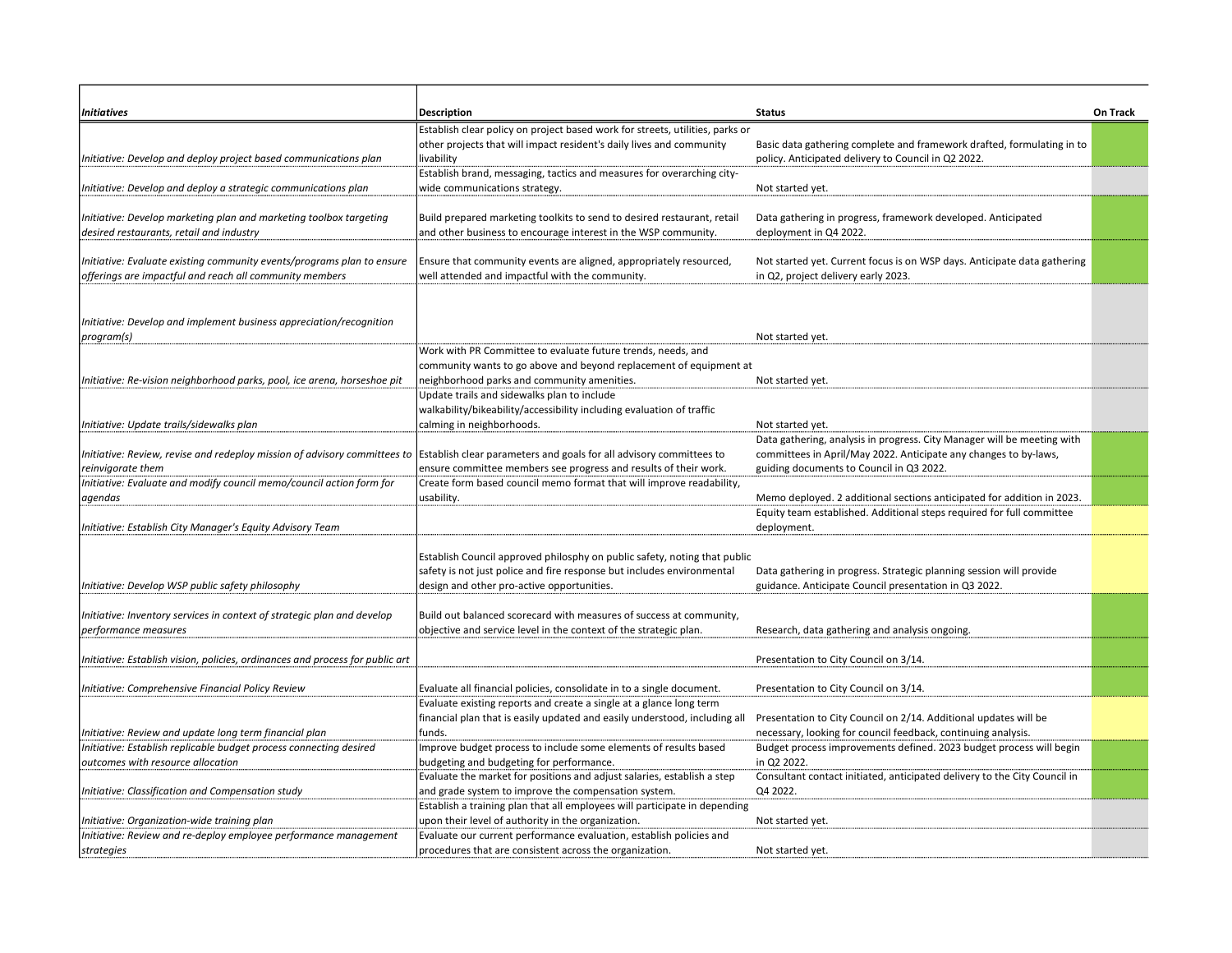| <b>Initiatives</b>                                                           | <b>Description</b>                                                            | <b>Status</b>                                                             | On Track |
|------------------------------------------------------------------------------|-------------------------------------------------------------------------------|---------------------------------------------------------------------------|----------|
|                                                                              | Establish clear policy on project based work for streets, utilities, parks or |                                                                           |          |
|                                                                              | other projects that will impact resident's daily lives and community          | Basic data gathering complete and framework drafted, formulating in to    |          |
| Initiative: Develop and deploy project based communications plan             | livability                                                                    | policy. Anticipated delivery to Council in Q2 2022.                       |          |
|                                                                              | Establish brand, messaging, tactics and measures for overarching city-        |                                                                           |          |
| 'nitiative: Develop and deploy a strategic communications plan               | wide communications strategy.                                                 | Not started yet.                                                          |          |
|                                                                              |                                                                               |                                                                           |          |
| Initiative: Develop marketing plan and marketing toolbox targeting           | Build prepared marketing toolkits to send to desired restaurant, retail       | Data gathering in progress, framework developed. Anticipated              |          |
| desired restaurants, retail and industry                                     | and other business to encourage interest in the WSP community.                | deployment in Q4 2022.                                                    |          |
|                                                                              |                                                                               |                                                                           |          |
| Initiative: Evaluate existing community events/programs plan to ensure       | Ensure that community events are aligned, appropriately resourced,            | Not started yet. Current focus is on WSP days. Anticipate data gathering  |          |
| offerings are impactful and reach all community members                      | well attended and impactful with the community.                               | in Q2, project delivery early 2023.                                       |          |
|                                                                              |                                                                               |                                                                           |          |
|                                                                              |                                                                               |                                                                           |          |
| Initiative: Develop and implement business appreciation/recognition          |                                                                               |                                                                           |          |
| program(s)                                                                   |                                                                               | Not started yet.                                                          |          |
|                                                                              | Work with PR Committee to evaluate future trends, needs, and                  |                                                                           |          |
|                                                                              | community wants to go above and beyond replacement of equipment at            |                                                                           |          |
| Initiative: Re-vision neighborhood parks, pool, ice arena, horseshoe pit     | neighborhood parks and community amenities.                                   | Not started yet.                                                          |          |
|                                                                              | Update trails and sidewalks plan to include                                   |                                                                           |          |
|                                                                              | walkability/bikeability/accessibility including evaluation of traffic         |                                                                           |          |
| Initiative: Update trails/sidewalks plan                                     | calming in neighborhoods.                                                     | Not started yet.                                                          |          |
|                                                                              |                                                                               | Data gathering, analysis in progress. City Manager will be meeting with   |          |
| Initiative: Review, revise and redeploy mission of advisory committees to    | Establish clear parameters and goals for all advisory committees to           | committees in April/May 2022. Anticipate any changes to by-laws,          |          |
| reinvigorate them                                                            | ensure committee members see progress and results of their work.              | guiding documents to Council in Q3 2022.                                  |          |
| Initiative: Evaluate and modify council memo/council action form for         | Create form based council memo format that will improve readability,          |                                                                           |          |
| agendas                                                                      | usability.                                                                    | Memo deployed. 2 additional sections anticipated for addition in 2023.    |          |
|                                                                              |                                                                               | Equity team established. Additional steps required for full committee     |          |
| Initiative: Establish City Manager's Equity Advisory Team                    |                                                                               | deployment.                                                               |          |
|                                                                              |                                                                               |                                                                           |          |
|                                                                              | Establish Council approved philosphy on public safety, noting that public     |                                                                           |          |
|                                                                              | safety is not just police and fire response but includes environmental        | Data gathering in progress. Strategic planning session will provide       |          |
| nitiative: Develop WSP public safety philosophy                              | design and other pro-active opportunities.                                    | guidance. Anticipate Council presentation in Q3 2022.                     |          |
|                                                                              |                                                                               |                                                                           |          |
| nitiative: Inventory services in context of strategic plan and develop       | Build out balanced scorecard with measures of success at community,           |                                                                           |          |
| performance measures                                                         | objective and service level in the context of the strategic plan.             | Research, data gathering and analysis ongoing.                            |          |
|                                                                              |                                                                               |                                                                           |          |
| nitiative: Establish vision, policies, ordinances and process for public art |                                                                               | Presentation to City Council on 3/14.                                     |          |
|                                                                              |                                                                               |                                                                           |          |
| nitiative: Comprehensive Financial Policy Review                             | Evaluate all financial policies, consolidate in to a single document.         | Presentation to City Council on 3/14.                                     |          |
|                                                                              | Evaluate existing reports and create a single at a glance long term           |                                                                           |          |
|                                                                              | financial plan that is easily updated and easily understood, including all    | Presentation to City Council on 2/14. Additional updates will be          |          |
| 'nitiative: Review and update long term financial plan                       | funds.                                                                        | necessary, looking for council feedback, continuing analysis.             |          |
| Initiative: Establish replicable budget process connecting desired           | Improve budget process to include some elements of results based              | Budget process improvements defined. 2023 budget process will begin       |          |
| outcomes with resource allocation                                            | budgeting and budgeting for performance.                                      | in Q2 2022.                                                               |          |
|                                                                              | Evaluate the market for positions and adjust salaries, establish a step       | Consultant contact initiated, anticipated delivery to the City Council in |          |
| nitiative: Classification and Compensation study                             | and grade system to improve the compensation system.                          | Q4 2022.                                                                  |          |
|                                                                              | Establish a training plan that all employees will participate in depending    |                                                                           |          |
| Initiative: Organization-wide training plan                                  | upon their level of authority in the organization.                            | Not started yet.                                                          |          |
| Initiative: Review and re-deploy employee performance management             | Evaluate our current performance evaluation, establish policies and           |                                                                           |          |
| strategies                                                                   | procedures that are consistent across the organization.                       | Not started yet.                                                          |          |
|                                                                              |                                                                               |                                                                           |          |